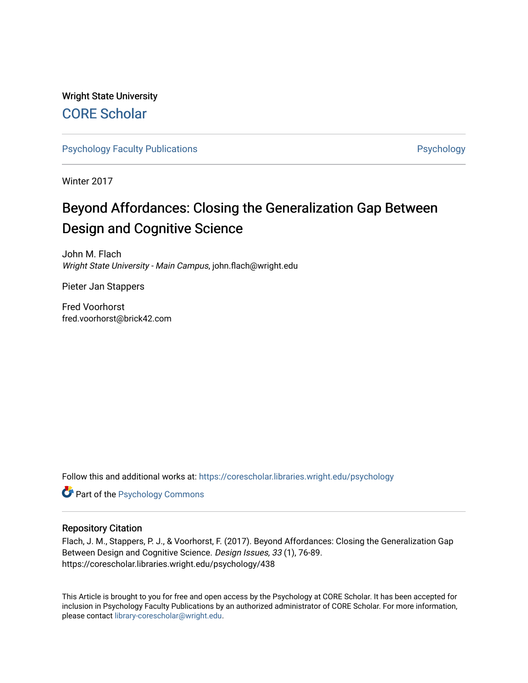Wright State University [CORE Scholar](https://corescholar.libraries.wright.edu/)

[Psychology Faculty Publications](https://corescholar.libraries.wright.edu/psychology) **Psychology** Psychology

Winter 2017

# Beyond Affordances: Closing the Generalization Gap Between Design and Cognitive Science

John M. Flach Wright State University - Main Campus, john.flach@wright.edu

Pieter Jan Stappers

Fred Voorhorst fred.voorhorst@brick42.com

Follow this and additional works at: [https://corescholar.libraries.wright.edu/psychology](https://corescholar.libraries.wright.edu/psychology?utm_source=corescholar.libraries.wright.edu%2Fpsychology%2F438&utm_medium=PDF&utm_campaign=PDFCoverPages) 

**Part of the Psychology Commons** 

# Repository Citation

Flach, J. M., Stappers, P. J., & Voorhorst, F. (2017). Beyond Affordances: Closing the Generalization Gap Between Design and Cognitive Science. Design Issues, 33 (1), 76-89. https://corescholar.libraries.wright.edu/psychology/438

This Article is brought to you for free and open access by the Psychology at CORE Scholar. It has been accepted for inclusion in Psychology Faculty Publications by an authorized administrator of CORE Scholar. For more information, please contact [library-corescholar@wright.edu](mailto:library-corescholar@wright.edu).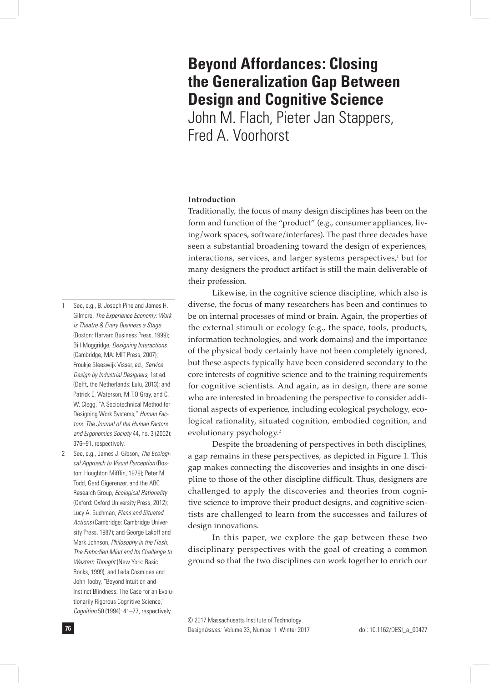# **Beyond Affordances: Closing the Generalization Gap Between Design and Cognitive Science**

John M. Flach, Pieter Jan Stappers, Fred A. Voorhorst

#### **Introduction**

Traditionally, the focus of many design disciplines has been on the form and function of the "product" (e.g., consumer appliances, living/work spaces, software/interfaces). The past three decades have seen a substantial broadening toward the design of experiences, interactions, services, and larger systems perspectives,<sup>1</sup> but for many designers the product artifact is still the main deliverable of their profession.

Likewise, in the cognitive science discipline, which also is diverse, the focus of many researchers has been and continues to be on internal processes of mind or brain. Again, the properties of the external stimuli or ecology (e.g., the space, tools, products, information technologies, and work domains) and the importance of the physical body certainly have not been completely ignored, but these aspects typically have been considered secondary to the core interests of cognitive science and to the training requirements for cognitive scientists. And again, as in design, there are some who are interested in broadening the perspective to consider additional aspects of experience, including ecological psychology, ecological rationality, situated cognition, embodied cognition, and evolutionary psychology.2

Despite the broadening of perspectives in both disciplines, a gap remains in these perspectives, as depicted in Figure 1. This gap makes connecting the discoveries and insights in one discipline to those of the other discipline difficult. Thus, designers are challenged to apply the discoveries and theories from cognitive science to improve their product designs, and cognitive scientists are challenged to learn from the successes and failures of design innovations.

In this paper, we explore the gap between these two disciplinary perspectives with the goal of creating a common ground so that the two disciplines can work together to enrich our

**76** Design*Issues:* Volume 33, Number 1 Winter 2017 © 2017 Massachusetts Institute of Technology

1 See, e.g., B. Joseph Pine and James H. Gilmore, *The Experience Economy: Work is Theatre & Every Business a Stage* (Boston: Harvard Business Press, 1999); Bill Moggridge, *Designing Interactions* (Cambridge, MA: MIT Press, 2007); Froukje Sleeswijk Visser, ed., *Service Design by Industrial Designers,* 1st ed. (Delft, the Netherlands: Lulu, 2013); and Patrick E. Waterson, M.T.O Gray, and C. W. Clegg, "A Sociotechnical Method for Designing Work Systems," *Human Factors: The Journal of the Human Factors and Ergonomics Society* 44, no. 3 (2002): 376–91, respectively.

2 See, e.g., James J. Gibson, *The Ecological Approach to Visual Perception* (Boston: Houghton Mifflin, 1979); Peter M. Todd, Gerd Gigerenzer, and the ABC Research Group, *Ecological Rationality* (Oxford: Oxford University Press, 2012); Lucy A. Suchman, *Plans and Situated Actions* (Cambridge: Cambridge University Press, 1987); and George Lakoff and Mark Johnson, *Philosophy in the Flesh: The Embodied Mind and Its Challenge to Western Thought* (New York: Basic Books, 1999); and Leda Cosmides and John Tooby, "Beyond Intuition and Instinct Blindness: The Case for an Evolutionarily Rigorous Cognitive Science," *Cognition* 50 (1994): 41–77, respectively.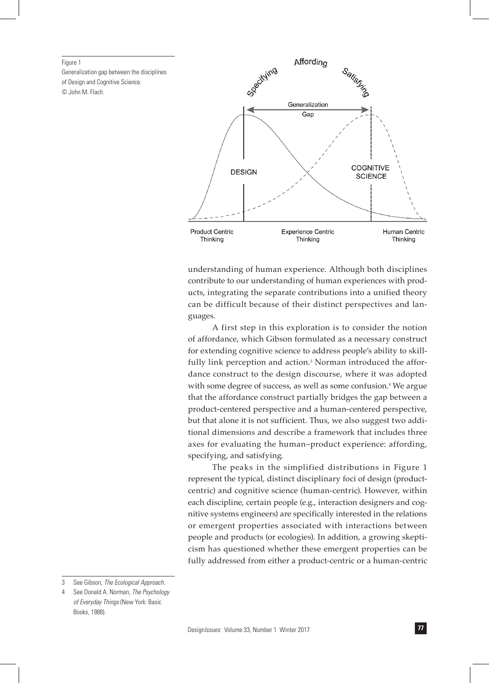Figure 1 Generalization gap between the disciplines of Design and Cognitive Science. © John M. Flach.



understanding of human experience. Although both disciplines contribute to our understanding of human experiences with products, integrating the separate contributions into a unified theory can be difficult because of their distinct perspectives and languages.

A first step in this exploration is to consider the notion of affordance, which Gibson formulated as a necessary construct for extending cognitive science to address people's ability to skillfully link perception and action.3 Norman introduced the affordance construct to the design discourse, where it was adopted with some degree of success, as well as some confusion.4 We argue that the affordance construct partially bridges the gap between a product-centered perspective and a human-centered perspective, but that alone it is not sufficient. Thus, we also suggest two additional dimensions and describe a framework that includes three axes for evaluating the human–product experience: affording, specifying, and satisfying.

The peaks in the simplified distributions in Figure 1 represent the typical, distinct disciplinary foci of design (productcentric) and cognitive science (human-centric). However, within each discipline, certain people (e.g., interaction designers and cognitive systems engineers) are specifically interested in the relations or emergent properties associated with interactions between people and products (or ecologies). In addition, a growing skepticism has questioned whether these emergent properties can be fully addressed from either a product-centric or a human-centric

<sup>3</sup> See Gibson, *The Ecological Approach.*

<sup>4</sup> See Donald A. Norman, *The Psychology of Everyday Things* (New York: Basic Books, 1988).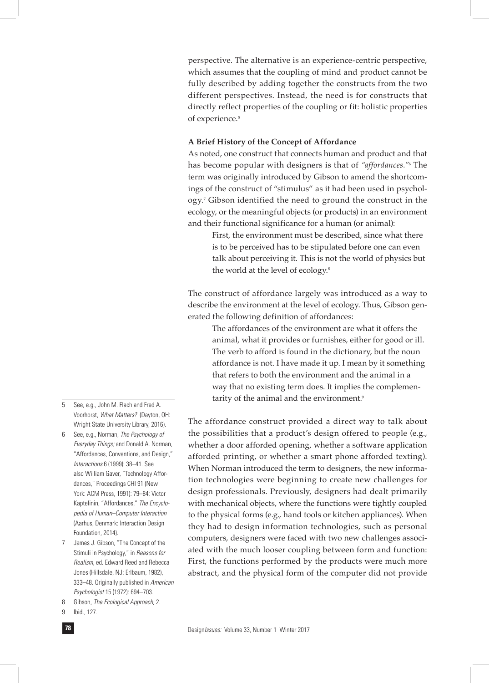perspective. The alternative is an experience-centric perspective, which assumes that the coupling of mind and product cannot be fully described by adding together the constructs from the two different perspectives. Instead, the need is for constructs that directly reflect properties of the coupling or fit: holistic properties of experience.<sup>5</sup>

# **A Brief History of the Concept of Affordance**

As noted, one construct that connects human and product and that has become popular with designers is that of *"affordances."*<sup>6</sup> The term was originally introduced by Gibson to amend the shortcomings of the construct of "stimulus" as it had been used in psychology.7 Gibson identified the need to ground the construct in the ecology, or the meaningful objects (or products) in an environment and their functional significance for a human (or animal):

First, the environment must be described, since what there is to be perceived has to be stipulated before one can even talk about perceiving it. This is not the world of physics but the world at the level of ecology.<sup>8</sup>

The construct of affordance largely was introduced as a way to describe the environment at the level of ecology. Thus, Gibson generated the following definition of affordances:

The affordances of the environment are what it offers the animal, what it provides or furnishes, either for good or ill. The verb to afford is found in the dictionary, but the noun affordance is not. I have made it up. I mean by it something that refers to both the environment and the animal in a way that no existing term does. It implies the complementarity of the animal and the environment.<sup>9</sup>

The affordance construct provided a direct way to talk about the possibilities that a product's design offered to people (e.g., whether a door afforded opening, whether a software application afforded printing, or whether a smart phone afforded texting). When Norman introduced the term to designers, the new information technologies were beginning to create new challenges for design professionals. Previously, designers had dealt primarily with mechanical objects, where the functions were tightly coupled to the physical forms (e.g., hand tools or kitchen appliances). When they had to design information technologies, such as personal computers, designers were faced with two new challenges associated with the much looser coupling between form and function: First, the functions performed by the products were much more abstract, and the physical form of the computer did not provide

- 5 See, e.g., John M. Flach and Fred A. Voorhorst, *What Matters?* (Dayton, OH: Wright State University Library, 2016).
- 6 See, e.g., Norman, *The Psychology of Everyday Things;* and Donald A. Norman, "Affordances, Conventions, and Design," *Interactions* 6 (1999): 38–41. See also William Gaver, "Technology Affordances," Proceedings CHI 91 (New York: ACM Press, 1991): 79–84; Victor Kaptelinin, "Affordances," *The Encyclopedia of Human–Computer Interaction* (Aarhus, Denmark: Interaction Design Foundation, 2014).
- 7 James J. Gibson, "The Concept of the Stimuli in Psychology," in *Reasons for Realism,* ed. Edward Reed and Rebecca Jones (Hillsdale, NJ: Erlbaum, 1982), 333–48. Originally published in *American Psychologist* 15 (1972): 694–703.
- 8 Gibson, *The Ecological Approach,* 2.
- 9 Ibid., 127.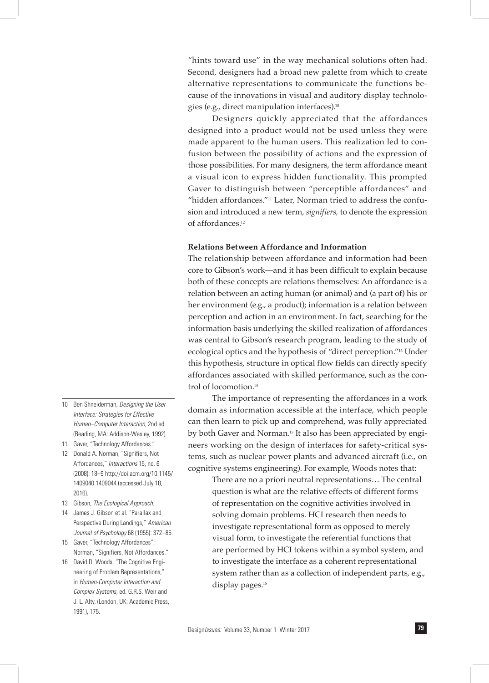"hints toward use" in the way mechanical solutions often had. Second, designers had a broad new palette from which to create alternative representations to communicate the functions because of the innovations in visual and auditory display technologies (e.g., direct manipulation interfaces).10

Designers quickly appreciated that the affordances designed into a product would not be used unless they were made apparent to the human users. This realization led to confusion between the possibility of actions and the expression of those possibilities. For many designers, the term affordance meant a visual icon to express hidden functionality. This prompted Gaver to distinguish between "perceptible affordances" and "hidden affordances."<sup>11</sup> Later, Norman tried to address the confusion and introduced a new term, *signifiers,* to denote the expression of affordances.12

# **Relations Between Affordance and Information**

The relationship between affordance and information had been core to Gibson's work—and it has been difficult to explain because both of these concepts are relations themselves: An affordance is a relation between an acting human (or animal) and (a part of) his or her environment (e.g., a product); information is a relation between perception and action in an environment. In fact, searching for the information basis underlying the skilled realization of affordances was central to Gibson's research program, leading to the study of ecological optics and the hypothesis of "direct perception."13 Under this hypothesis, structure in optical flow fields can directly specify affordances associated with skilled performance, such as the control of locomotion.<sup>14</sup>

The importance of representing the affordances in a work domain as information accessible at the interface, which people can then learn to pick up and comprehend, was fully appreciated by both Gaver and Norman.15 It also has been appreciated by engineers working on the design of interfaces for safety-critical systems, such as nuclear power plants and advanced aircraft (i.e., on cognitive systems engineering). For example, Woods notes that:

There are no a priori neutral representations… The central question is what are the relative effects of different forms of representation on the cognitive activities involved in solving domain problems. HCI research then needs to investigate representational form as opposed to merely visual form, to investigate the referential functions that are performed by HCI tokens within a symbol system, and to investigate the interface as a coherent representational system rather than as a collection of independent parts, e.g., display pages.<sup>16</sup>

- 10 Ben Shneiderman, *Designing the User Interface: Strategies for Effective Human–Computer Interaction,* 2nd ed. (Reading, MA: Addison-Wesley, 1992).
- 11 Gaver, "Technology Affordances."
- 12 Donald A. Norman, "Signifiers, Not Affordances," *Interactions* 15, no. 6 (2008): 18–9 http://doi.acm.org/10.1145/ 1409040.1409044 (accessed July 18, 2016).
- 13 Gibson, *The Ecological Approach.*
- 14 James J. Gibson et al. "Parallax and Perspective During Landings," *American Journal of Psychology* 68 (1955): 372–85.
- 15 Gaver, "Technology Affordances"; Norman, "Signifiers, Not Affordances."
- 16 David D. Woods, "The Cognitive Engineering of Problem Representations," in *Human-Computer Interaction and Complex Systems,* ed. G.R.S. Weir and J. L. Alty, (London, UK: Academic Press, 1991), 175.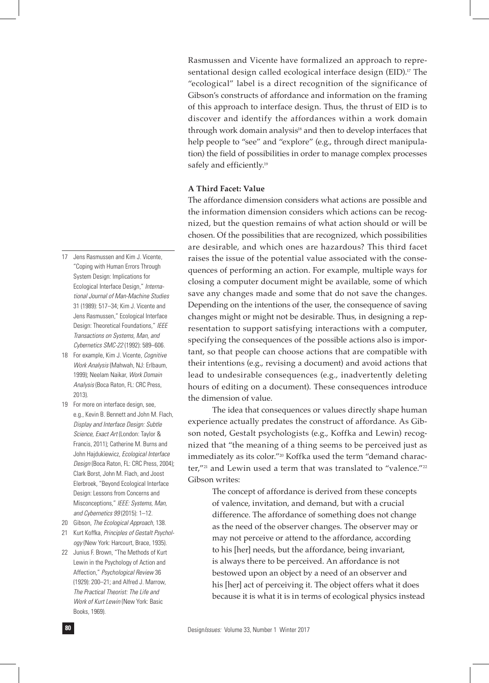Rasmussen and Vicente have formalized an approach to representational design called ecological interface design (EID).<sup>17</sup> The "ecological" label is a direct recognition of the significance of Gibson's constructs of affordance and information on the framing of this approach to interface design. Thus, the thrust of EID is to discover and identify the affordances within a work domain through work domain analysis<sup>18</sup> and then to develop interfaces that help people to "see" and "explore" (e.g., through direct manipulation) the field of possibilities in order to manage complex processes safely and efficiently.<sup>19</sup>

#### **A Third Facet: Value**

The affordance dimension considers what actions are possible and the information dimension considers which actions can be recognized, but the question remains of what action should or will be chosen. Of the possibilities that are recognized, which possibilities are desirable, and which ones are hazardous? This third facet raises the issue of the potential value associated with the consequences of performing an action. For example, multiple ways for closing a computer document might be available, some of which save any changes made and some that do not save the changes. Depending on the intentions of the user, the consequence of saving changes might or might not be desirable. Thus, in designing a representation to support satisfying interactions with a computer, specifying the consequences of the possible actions also is important, so that people can choose actions that are compatible with their intentions (e.g., revising a document) and avoid actions that lead to undesirable consequences (e.g., inadvertently deleting hours of editing on a document). These consequences introduce the dimension of value.

The idea that consequences or values directly shape human experience actually predates the construct of affordance. As Gibson noted, Gestalt psychologists (e.g., Koffka and Lewin) recognized that "the meaning of a thing seems to be perceived just as immediately as its color."20 Koffka used the term "demand character,"<sup>21</sup> and Lewin used a term that was translated to "valence."<sup>22</sup> Gibson writes:

The concept of affordance is derived from these concepts of valence, invitation, and demand, but with a crucial difference. The affordance of something does not change as the need of the observer changes. The observer may or may not perceive or attend to the affordance, according to his [her] needs, but the affordance, being invariant, is always there to be perceived. An affordance is not bestowed upon an object by a need of an observer and his [her] act of perceiving it. The object offers what it does because it is what it is in terms of ecological physics instead

- 17 Jens Rasmussen and Kim J. Vicente, "Coping with Human Errors Through System Design: Implications for Ecological Interface Design," *International Journal of Man-Machine Studies* 31 (1989): 517–34; Kim J. Vicente and Jens Rasmussen," Ecological Interface Design: Theoretical Foundations," *IEEE Transactions on Systems, Man, and Cybernetics SMC-22* (1992): 589–606.
- 18 For example, Kim J. Vicente, *Cognitive Work Analysis* (Mahwah, NJ: Erlbaum, 1999); Neelam Naikar, *Work Domain Analysis* (Boca Raton, FL: CRC Press, 2013).
- 19 For more on interface design, see, e.g., Kevin B. Bennett and John M. Flach, *Display and Interface Design: Subtle Science, Exact Art* (London: Taylor & Francis, 2011); Catherine M. Burns and John Hajdukiewicz, *Ecological Interface Design* (Boca Raton, FL: CRC Press, 2004); Clark Borst, John M. Flach, and Joost Elerbroek, "Beyond Ecological Interface Design: Lessons from Concerns and Misconceptions," *IEEE: Systems, Man, and Cybernetics 99* (2015): 1–12.
- 20 Gibson, *The Ecological Approach,* 138.
- 21 Kurt Koffka, *Principles of Gestalt Psychology* (New York: Harcourt, Brace, 1935).
- 22 Junius F. Brown, "The Methods of Kurt Lewin in the Psychology of Action and Affection," *Psychological Review* 36 (1929): 200–21; and Alfred J. Marrow, *The Practical Theorist: The Life and Work of Kurt Lewin* (New York: Basic Books, 1969).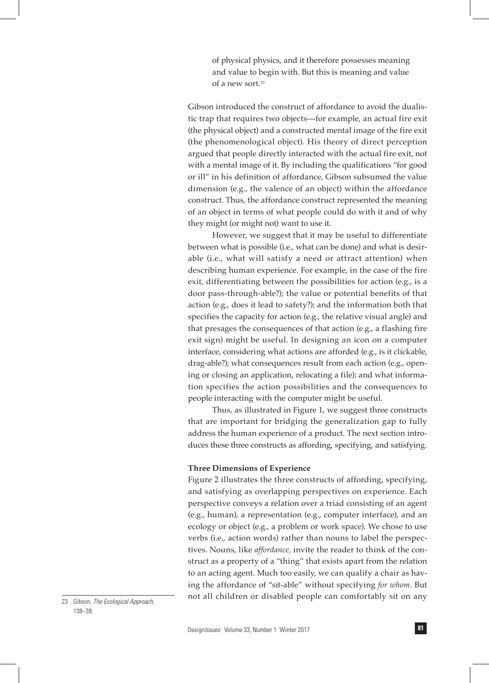of physical physics, and it therefore possesses meaning and value to begin with. But this is meaning and value of a new sort.23

Gibson introduced the construct of affordance to avoid the dualistic trap that requires two objects—for example, an actual fire exit (the physical object) and a constructed mental image of the fire exit (the phenomenological object). His theory of direct perception argued that people directly interacted with the actual fire exit, not with a mental image of it. By including the qualifications "for good or ill" in his definition of affordance, Gibson subsumed the value dimension (e.g., the valence of an object) within the affordance construct. Thus, the affordance construct represented the meaning of an object in terms of what people could do with it and of why they might (or might not) want to use it.

However, we suggest that it may be useful to differentiate between what is possible (i.e., what can be done) and what is desirable (i.e., what will satisfy a need or attract attention) when describing human experience. For example, in the case of the fire exit, differentiating between the possibilities for action (e.g., is a door pass-through-able?); the value or potential benefits of that action (e.g., does it lead to safety?); and the information both that specifies the capacity for action (e.g., the relative visual angle) and that presages the consequences of that action (e.g., a flashing fire exit sign) might be useful. In designing an icon on a computer interface, considering what actions are afforded (e.g., is it clickable, drag-able?); what consequences result from each action (e.g., opening or closing an application, relocating a file); and what information specifies the action possibilities and the consequences to people interacting with the computer might be useful.

Thus, as illustrated in Figure 1, we suggest three constructs that are important for bridging the generalization gap to fully address the human experience of a product. The next section introduces these three constructs as affording, specifying, and satisfying.

#### **Three Dimensions of Experience**

Figure 2 illustrates the three constructs of affording, specifying, and satisfying as overlapping perspectives on experience. Each perspective conveys a relation over a triad consisting of an agent (e.g., human), a representation (e.g., computer interface), and an ecology or object (e.g., a problem or work space). We chose to use verbs (i.e., action words) rather than nouns to label the perspectives. Nouns, like *affordance,* invite the reader to think of the construct as a property of a "thing" that exists apart from the relation to an acting agent. Much too easily, we can qualify a chair as having the affordance of "sit-able" without specifying *for whom.* But not all children or disabled people can comfortably sit on any <sup>23</sup> Gibson, *The Ecological Approach,*

<sup>138–39.</sup>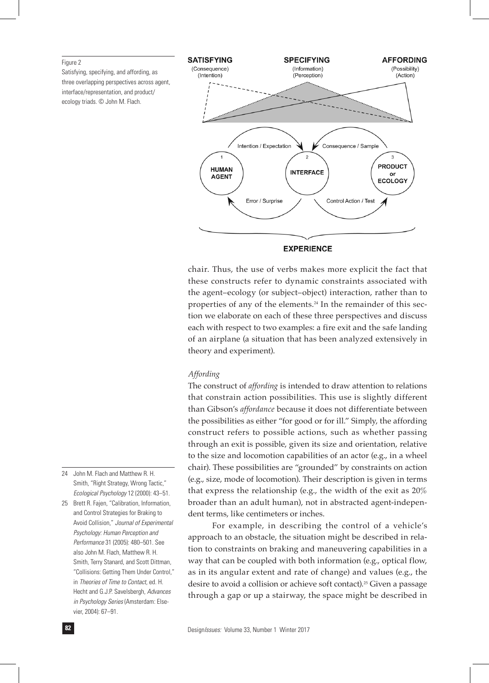Figure 2

Satisfying, specifying, and affording, as three overlapping perspectives across agent, interface/representation, and product/ ecology triads. © John M. Flach.



### **EXPERIENCE**

chair. Thus, the use of verbs makes more explicit the fact that these constructs refer to dynamic constraints associated with the agent–ecology (or subject–object) interaction, rather than to properties of any of the elements.<sup>24</sup> In the remainder of this section we elaborate on each of these three perspectives and discuss each with respect to two examples: a fire exit and the safe landing of an airplane (a situation that has been analyzed extensively in theory and experiment).

#### *Affording*

The construct of *affording* is intended to draw attention to relations that constrain action possibilities. This use is slightly different than Gibson's *affordance* because it does not differentiate between the possibilities as either "for good or for ill." Simply, the affording construct refers to possible actions, such as whether passing through an exit is possible, given its size and orientation, relative to the size and locomotion capabilities of an actor (e.g., in a wheel chair). These possibilities are "grounded" by constraints on action (e.g., size, mode of locomotion). Their description is given in terms that express the relationship (e.g., the width of the exit as  $20\%$ broader than an adult human), not in abstracted agent-independent terms, like centimeters or inches.

For example, in describing the control of a vehicle's approach to an obstacle, the situation might be described in relation to constraints on braking and maneuvering capabilities in a way that can be coupled with both information (e.g., optical flow, as in its angular extent and rate of change) and values (e.g., the desire to avoid a collision or achieve soft contact).25 Given a passage through a gap or up a stairway, the space might be described in

- 24 John M. Flach and Matthew R. H. Smith, "Right Strategy, Wrong Tactic," *Ecological Psychology* 12 (2000): 43–51.
- 25 Brett R. Fajen, "Calibration, Information, and Control Strategies for Braking to Avoid Collision," *Journal of Experimental Psychology: Human Perception and Performance* 31 (2005): 480–501. See also John M. Flach, Matthew R. H. Smith, Terry Stanard, and Scott Dittman, "Collisions: Getting Them Under Control," in *Theories of Time to Contact,* ed. H. Hecht and G.J.P. Savelsbergh, *Advances in Psychology Series* (Amsterdam: Elsevier, 2004): 67–91.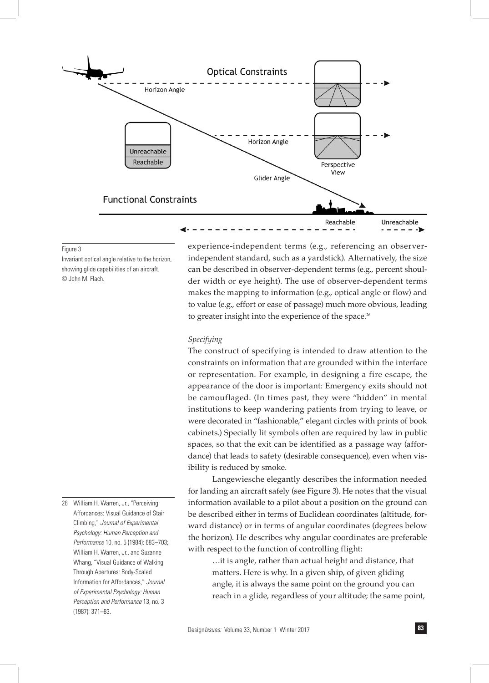

Figure 3

Invariant optical angle relative to the horizon, showing glide capabilities of an aircraft. © John M. Flach.

experience-independent terms (e.g., referencing an observerindependent standard, such as a yardstick). Alternatively, the size can be described in observer-dependent terms (e.g., percent shoulder width or eye height). The use of observer-dependent terms makes the mapping to information (e.g., optical angle or flow) and to value (e.g., effort or ease of passage) much more obvious, leading to greater insight into the experience of the space.<sup>26</sup>

#### *Specifying*

The construct of specifying is intended to draw attention to the constraints on information that are grounded within the interface or representation. For example, in designing a fire escape, the appearance of the door is important: Emergency exits should not be camouflaged. (In times past, they were "hidden" in mental institutions to keep wandering patients from trying to leave, or were decorated in "fashionable," elegant circles with prints of book cabinets.) Specially lit symbols often are required by law in public spaces, so that the exit can be identified as a passage way (affordance) that leads to safety (desirable consequence), even when visibility is reduced by smoke.

Langewiesche elegantly describes the information needed for landing an aircraft safely (see Figure 3). He notes that the visual information available to a pilot about a position on the ground can be described either in terms of Euclidean coordinates (altitude, forward distance) or in terms of angular coordinates (degrees below the horizon). He describes why angular coordinates are preferable with respect to the function of controlling flight:

…it is angle, rather than actual height and distance, that matters. Here is why. In a given ship, of given gliding angle, it is always the same point on the ground you can reach in a glide, regardless of your altitude; the same point,

26 William H. Warren, Jr., "Perceiving Affordances: Visual Guidance of Stair Climbing," *Journal of Experimental Psychology: Human Perception and Performance* 10, no. 5 (1984): 683–703; William H. Warren, Jr., and Suzanne Whang, "Visual Guidance of Walking Through Apertures: Body-Scaled Information for Affordances," *Journal of Experimental Psychology: Human Perception and Performance* 13, no. 3 (1987): 371–83.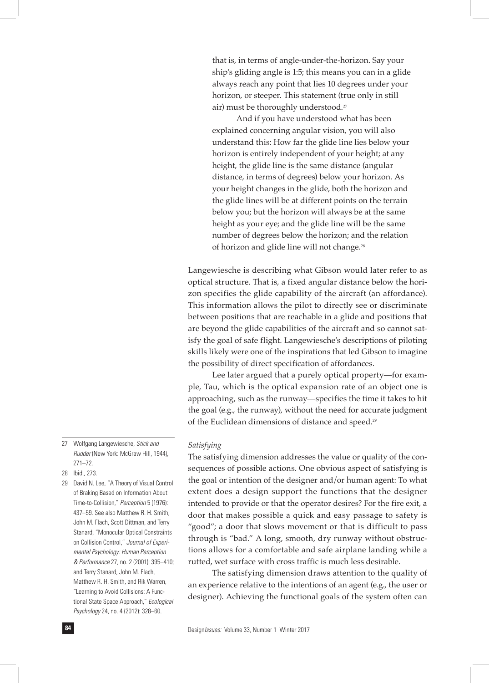that is, in terms of angle-under-the-horizon. Say your ship's gliding angle is 1:5; this means you can in a glide always reach any point that lies 10 degrees under your horizon, or steeper. This statement (true only in still air) must be thoroughly understood.<sup>27</sup>

 And if you have understood what has been explained concerning angular vision, you will also understand this: How far the glide line lies below your horizon is entirely independent of your height; at any height, the glide line is the same distance (angular distance, in terms of degrees) below your horizon. As your height changes in the glide, both the horizon and the glide lines will be at different points on the terrain below you; but the horizon will always be at the same height as your eye; and the glide line will be the same number of degrees below the horizon; and the relation of horizon and glide line will not change.<sup>28</sup>

Langewiesche is describing what Gibson would later refer to as optical structure. That is, a fixed angular distance below the horizon specifies the glide capability of the aircraft (an affordance). This information allows the pilot to directly see or discriminate between positions that are reachable in a glide and positions that are beyond the glide capabilities of the aircraft and so cannot satisfy the goal of safe flight. Langewiesche's descriptions of piloting skills likely were one of the inspirations that led Gibson to imagine the possibility of direct specification of affordances.

Lee later argued that a purely optical property—for example, Tau, which is the optical expansion rate of an object one is approaching, such as the runway—specifies the time it takes to hit the goal (e.g., the runway), without the need for accurate judgment of the Euclidean dimensions of distance and speed.<sup>29</sup>

#### *Satisfying*

The satisfying dimension addresses the value or quality of the consequences of possible actions. One obvious aspect of satisfying is the goal or intention of the designer and/or human agent: To what extent does a design support the functions that the designer intended to provide or that the operator desires? For the fire exit, a door that makes possible a quick and easy passage to safety is "good"; a door that slows movement or that is difficult to pass through is "bad." A long, smooth, dry runway without obstructions allows for a comfortable and safe airplane landing while a rutted, wet surface with cross traffic is much less desirable.

The satisfying dimension draws attention to the quality of an experience relative to the intentions of an agent (e.g., the user or designer). Achieving the functional goals of the system often can

27 Wolfgang Langewiesche, *Stick and Rudder* (New York: McGraw Hill, 1944), 271–72.

29 David N. Lee, "A Theory of Visual Control of Braking Based on Information About Time-to-Collision," *Perception* 5 (1976): 437–59. See also Matthew R. H. Smith, John M. Flach, Scott Dittman, and Terry Stanard, "Monocular Optical Constraints on Collision Control," *Journal of Experimental Psychology: Human Perception & Performance* 27, no. 2 (2001): 395–410; and Terry Stanard, John M. Flach, Matthew R. H. Smith, and Rik Warren, "Learning to Avoid Collisions: A Functional State Space Approach," *Ecological Psychology* 24, no. 4 (2012): 328–60.

<sup>28</sup> Ibid., 273.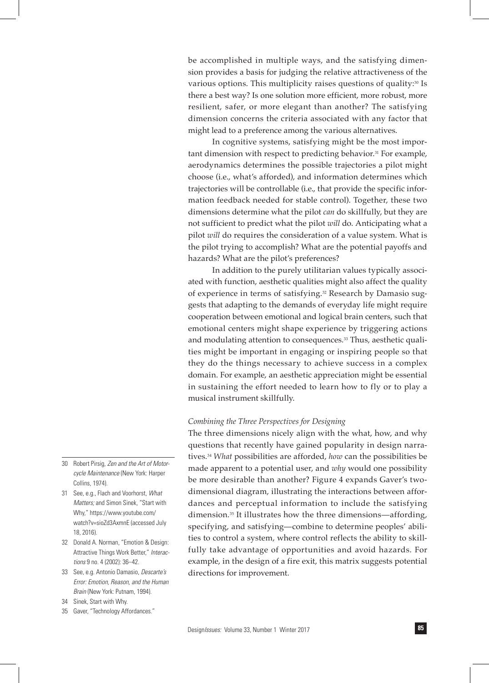be accomplished in multiple ways, and the satisfying dimension provides a basis for judging the relative attractiveness of the various options. This multiplicity raises questions of quality:<sup>30</sup> Is there a best way? Is one solution more efficient, more robust, more resilient, safer, or more elegant than another? The satisfying dimension concerns the criteria associated with any factor that might lead to a preference among the various alternatives.

In cognitive systems, satisfying might be the most important dimension with respect to predicting behavior.<sup>31</sup> For example, aerodynamics determines the possible trajectories a pilot might choose (i.e., what's afforded), and information determines which trajectories will be controllable (i.e., that provide the specific information feedback needed for stable control). Together, these two dimensions determine what the pilot *can* do skillfully, but they are not sufficient to predict what the pilot *will* do. Anticipating what a pilot *will* do requires the consideration of a value system. What is the pilot trying to accomplish? What are the potential payoffs and hazards? What are the pilot's preferences?

In addition to the purely utilitarian values typically associated with function, aesthetic qualities might also affect the quality of experience in terms of satisfying.<sup>32</sup> Research by Damasio suggests that adapting to the demands of everyday life might require cooperation between emotional and logical brain centers, such that emotional centers might shape experience by triggering actions and modulating attention to consequences.<sup>33</sup> Thus, aesthetic qualities might be important in engaging or inspiring people so that they do the things necessary to achieve success in a complex domain. For example, an aesthetic appreciation might be essential in sustaining the effort needed to learn how to fly or to play a musical instrument skillfully.

### *Combining the Three Perspectives for Designing*

The three dimensions nicely align with the what, how, and why questions that recently have gained popularity in design narratives.34 *What* possibilities are afforded, *how* can the possibilities be made apparent to a potential user, and *why* would one possibility be more desirable than another? Figure 4 expands Gaver's twodimensional diagram, illustrating the interactions between affordances and perceptual information to include the satisfying dimension.35 It illustrates how the three dimensions—affording, specifying, and satisfying—combine to determine peoples' abilities to control a system, where control reflects the ability to skillfully take advantage of opportunities and avoid hazards. For example, in the design of a fire exit, this matrix suggests potential directions for improvement.

- 30 Robert Pirsig, *Zen and the Art of Motorcycle Maintenance* (New York: Harper Collins, 1974).
- 31 See, e.g., Flach and Voorhorst, *What Matters;* and Simon Sinek, "Start with Why," https://www.youtube.com/ watch?v=sioZd3AxmnE (accessed July 18, 2016).
- 32 Donald A. Norman, "Emotion & Design: Attractive Things Work Better," *Interactions* 9 no. 4 (2002): 36–42.
- 33 See, e.g. Antonio Damasio, *Descarte's Error: Emotion, Reason, and the Human Brain* (New York: Putnam, 1994).
- 34 Sinek, Start with Why.
- 35 Gaver, "Technology Affordances."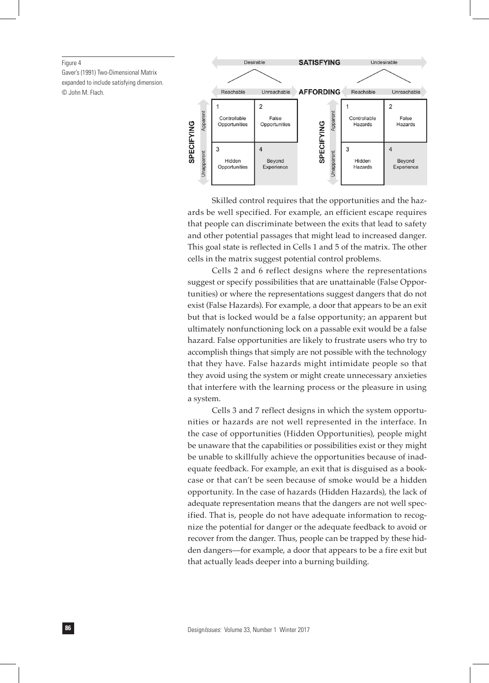Figure 4

Gaver's (1991) Two-Dimensional Matrix expanded to include satisfying dimension. © John M. Flach.



Skilled control requires that the opportunities and the hazards be well specified. For example, an efficient escape requires that people can discriminate between the exits that lead to safety and other potential passages that might lead to increased danger. This goal state is reflected in Cells 1 and 5 of the matrix. The other cells in the matrix suggest potential control problems.

Cells 2 and 6 reflect designs where the representations suggest or specify possibilities that are unattainable (False Opportunities) or where the representations suggest dangers that do not exist (False Hazards). For example, a door that appears to be an exit but that is locked would be a false opportunity; an apparent but ultimately nonfunctioning lock on a passable exit would be a false hazard. False opportunities are likely to frustrate users who try to accomplish things that simply are not possible with the technology that they have. False hazards might intimidate people so that they avoid using the system or might create unnecessary anxieties that interfere with the learning process or the pleasure in using a system.

Cells 3 and 7 reflect designs in which the system opportunities or hazards are not well represented in the interface. In the case of opportunities (Hidden Opportunities), people might be unaware that the capabilities or possibilities exist or they might be unable to skillfully achieve the opportunities because of inadequate feedback. For example, an exit that is disguised as a bookcase or that can't be seen because of smoke would be a hidden opportunity. In the case of hazards (Hidden Hazards), the lack of adequate representation means that the dangers are not well specified. That is, people do not have adequate information to recognize the potential for danger or the adequate feedback to avoid or recover from the danger. Thus, people can be trapped by these hidden dangers—for example, a door that appears to be a fire exit but that actually leads deeper into a burning building.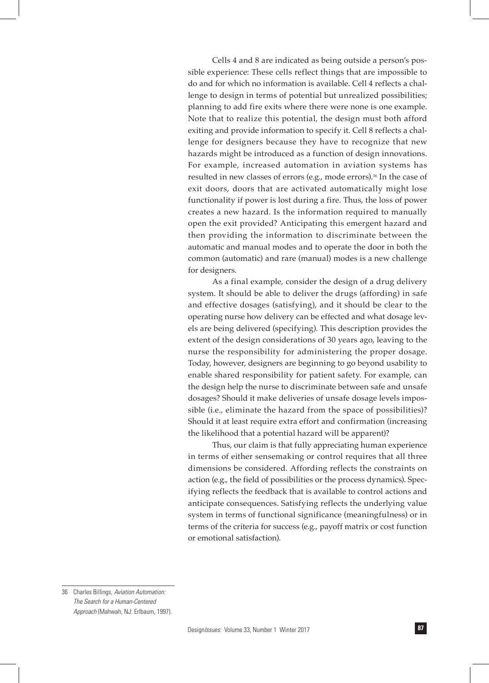Cells 4 and 8 are indicated as being outside a person's possible experience: These cells reflect things that are impossible to do and for which no information is available. Cell 4 reflects a challenge to design in terms of potential but unrealized possibilities; planning to add fire exits where there were none is one example. Note that to realize this potential, the design must both afford exiting and provide information to specify it. Cell 8 reflects a challenge for designers because they have to recognize that new hazards might be introduced as a function of design innovations. For example, increased automation in aviation systems has resulted in new classes of errors (e.g., mode errors).<sup>36</sup> In the case of exit doors, doors that are activated automatically might lose functionality if power is lost during a fire. Thus, the loss of power creates a new hazard. Is the information required to manually open the exit provided? Anticipating this emergent hazard and then providing the information to discriminate between the automatic and manual modes and to operate the door in both the common (automatic) and rare (manual) modes is a new challenge for designers.

As a final example, consider the design of a drug delivery system. It should be able to deliver the drugs (affording) in safe and effective dosages (satisfying), and it should be clear to the operating nurse how delivery can be effected and what dosage levels are being delivered (specifying). This description provides the extent of the design considerations of 30 years ago, leaving to the nurse the responsibility for administering the proper dosage. Today, however, designers are beginning to go beyond usability to enable shared responsibility for patient safety. For example, can the design help the nurse to discriminate between safe and unsafe dosages? Should it make deliveries of unsafe dosage levels impossible (i.e., eliminate the hazard from the space of possibilities)? Should it at least require extra effort and confirmation (increasing the likelihood that a potential hazard will be apparent)?

Thus, our claim is that fully appreciating human experience in terms of either sensemaking or control requires that all three dimensions be considered. Affording reflects the constraints on action (e.g., the field of possibilities or the process dynamics). Specifying reflects the feedback that is available to control actions and anticipate consequences. Satisfying reflects the underlying value system in terms of functional significance (meaningfulness) or in terms of the criteria for success (e.g., payoff matrix or cost function or emotional satisfaction).

<sup>36</sup> Charles Billings, *Aviation Automation: The Search for a Human-Centered Approach* (Mahwah, NJ: Erlbaum, 1997).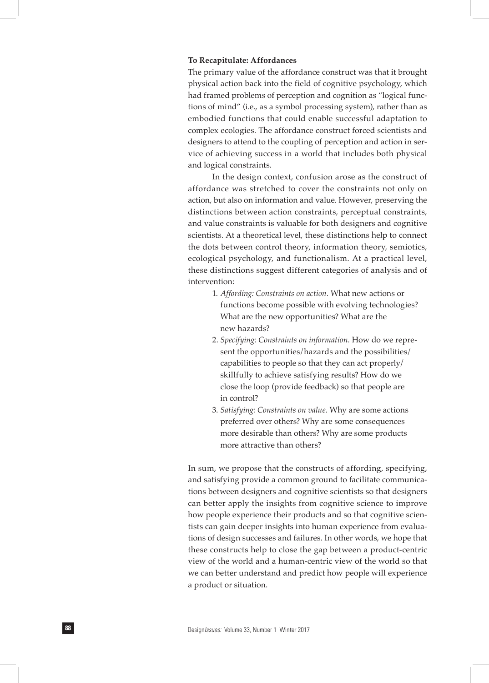# **To Recapitulate: Affordances**

The primary value of the affordance construct was that it brought physical action back into the field of cognitive psychology, which had framed problems of perception and cognition as "logical functions of mind" (i.e., as a symbol processing system), rather than as embodied functions that could enable successful adaptation to complex ecologies. The affordance construct forced scientists and designers to attend to the coupling of perception and action in service of achieving success in a world that includes both physical and logical constraints.

In the design context, confusion arose as the construct of affordance was stretched to cover the constraints not only on action, but also on information and value. However, preserving the distinctions between action constraints, perceptual constraints, and value constraints is valuable for both designers and cognitive scientists. At a theoretical level, these distinctions help to connect the dots between control theory, information theory, semiotics, ecological psychology, and functionalism. At a practical level, these distinctions suggest different categories of analysis and of intervention:

- 1. *Affording: Constraints on action.* What new actions or functions become possible with evolving technologies? What are the new opportunities? What are the new hazards?
- 2. *Specifying: Constraints on information.* How do we repre sent the opportunities/hazards and the possibilities/ capabilities to people so that they can act properly/ skillfully to achieve satisfying results? How do we close the loop (provide feedback) so that people are in control?
- 3. *Satisfying: Constraints on value.* Why are some actions preferred over others? Why are some consequences more desirable than others? Why are some products more attractive than others?

In sum, we propose that the constructs of affording, specifying, and satisfying provide a common ground to facilitate communications between designers and cognitive scientists so that designers can better apply the insights from cognitive science to improve how people experience their products and so that cognitive scientists can gain deeper insights into human experience from evaluations of design successes and failures. In other words, we hope that these constructs help to close the gap between a product-centric view of the world and a human-centric view of the world so that we can better understand and predict how people will experience a product or situation.